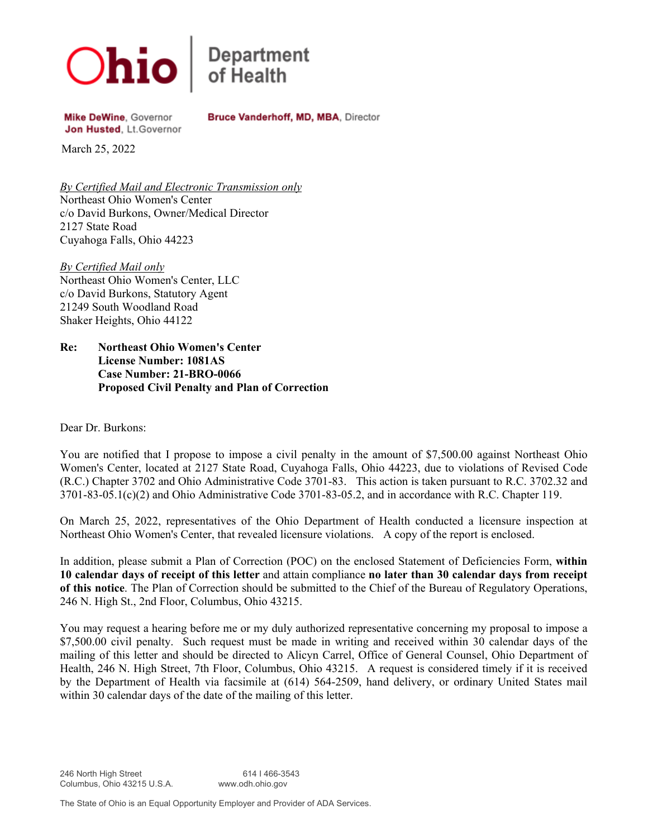

**Department**<br>of Health

Bruce Vanderhoff, MD, MBA, Director

Mike DeWine, Governor Jon Husted, Lt.Governor

March 25, 2022

*By Certified Mail and Electronic Transmission only* Northeast Ohio Women's Center c/o David Burkons, Owner/Medical Director 2127 State Road Cuyahoga Falls, Ohio 44223

*By Certified Mail only* Northeast Ohio Women's Center, LLC c/o David Burkons, Statutory Agent 21249 South Woodland Road Shaker Heights, Ohio 44122

**Re: Northeast Ohio Women's Center License Number: 1081AS Case Number: 21-BRO-0066 Proposed Civil Penalty and Plan of Correction**

Dear Dr. Burkons:

You are notified that I propose to impose a civil penalty in the amount of \$7,500.00 against Northeast Ohio Women's Center, located at 2127 State Road, Cuyahoga Falls, Ohio 44223, due to violations of Revised Code (R.C.) Chapter 3702 and Ohio Administrative Code 3701-83. This action is taken pursuant to R.C. 3702.32 and 3701-83-05.1(c)(2) and Ohio Administrative Code 3701-83-05.2, and in accordance with R.C. Chapter 119.

On March 25, 2022, representatives of the Ohio Department of Health conducted a licensure inspection at Northeast Ohio Women's Center, that revealed licensure violations. A copy of the report is enclosed.

In addition, please submit a Plan of Correction (POC) on the enclosed Statement of Deficiencies Form, **within 10 calendar days of receipt of this letter** and attain compliance **no later than 30 calendar days from receipt of this notice**. The Plan of Correction should be submitted to the Chief of the Bureau of Regulatory Operations, 246 N. High St., 2nd Floor, Columbus, Ohio 43215.

You may request a hearing before me or my duly authorized representative concerning my proposal to impose a \$7,500.00 civil penalty. Such request must be made in writing and received within 30 calendar days of the mailing of this letter and should be directed to Alicyn Carrel, Office of General Counsel, Ohio Department of Health, 246 N. High Street, 7th Floor, Columbus, Ohio 43215. A request is considered timely if it is received by the Department of Health via facsimile at (614) 564-2509, hand delivery, or ordinary United States mail within 30 calendar days of the date of the mailing of this letter.